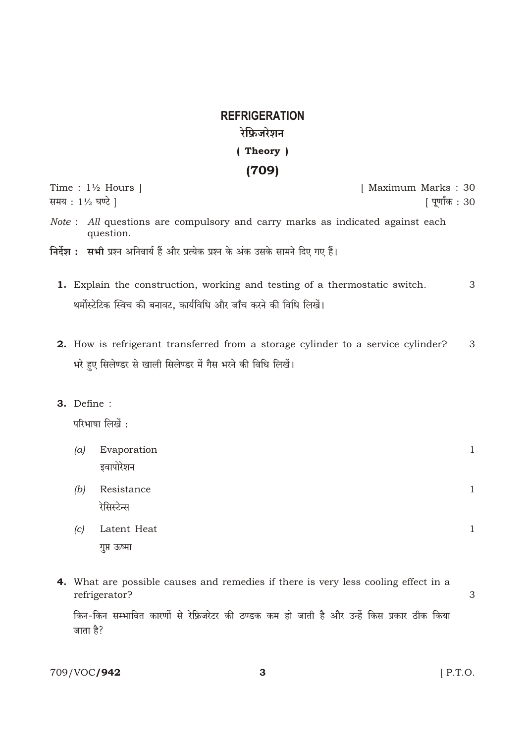## **REFRIGERATION** रेफ्रिजरेशन (Theory)  $(709)$

Time :  $1\frac{1}{2}$  Hours ] [ Maximum Marks: 30 समय: 11/2 घण्टे | [ पूर्णांक : 30 Note : All questions are compulsory and carry marks as indicated against each question. निर्देश : सभी प्रश्न अनिवार्य हैं और प्रत्येक प्रश्न के अंक उसके सामने दिए गए हैं। 1. Explain the construction, working and testing of a thermostatic switch. 3 थर्मोस्टेटिक स्विच की बनावट, कार्यविधि और जाँच करने की विधि लिखें। 2. How is refrigerant transferred from a storage cylinder to a service cylinder? 3 भरे हुए सिलेण्डर से खाली सिलेण्डर में गैस भरने की विधि लिखें। 3. Define: परिभाषा लिखें:  $(a)$ Evaporation  $\mathbf{1}$ इवापोरेशन Resistance  $(b)$  $\mathbf{1}$ रेसिस्टेन्स  $(c)$ Latent Heat  $\mathbf{1}$ 

- गुप्त ऊष्मा
- 4. What are possible causes and remedies if there is very less cooling effect in a refrigerator? 3

किन-किन सम्भावित कारणों से रेफ्रिजरेटर की ठण्डक कम हो जाती है और उन्हें किस प्रकार ठीक किया जाता है?

709/VOC/942

 $[$  P.T.O.

3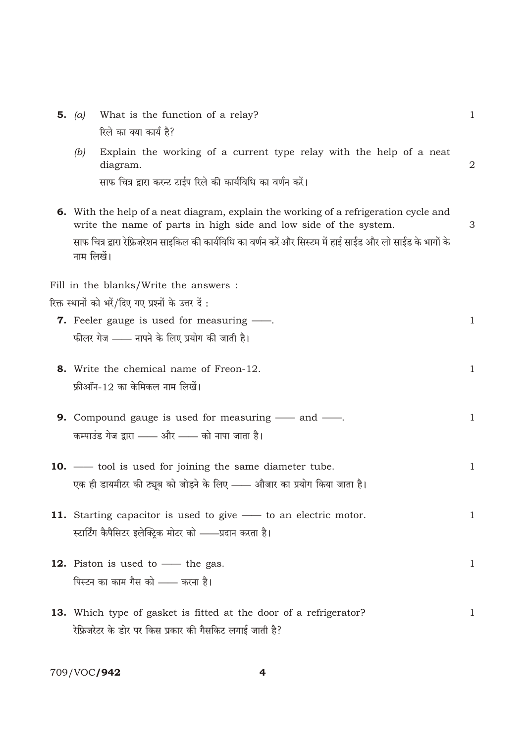| 5. $(a)$   | What is the function of a relay?                                                                                                                                | $\mathbf{1}$ |
|------------|-----------------------------------------------------------------------------------------------------------------------------------------------------------------|--------------|
|            | रिले का क्या कार्य है?                                                                                                                                          |              |
| (b)        | Explain the working of a current type relay with the help of a neat<br>diagram.                                                                                 | 2            |
|            | साफ चित्र द्वारा करन्ट टाईप रिले की कार्यविधि का वर्णन करें।                                                                                                    |              |
|            | <b>6.</b> With the help of a neat diagram, explain the working of a refrigeration cycle and<br>write the name of parts in high side and low side of the system. | 3            |
| नाम लिखें। | साफ चित्र द्वारा रेफ्रिजरेशन साइकिल की कार्यविधि का वर्णन करें और सिस्टम में हाई साईड और लो साईड के भागों के                                                    |              |
|            | Fill in the blanks/Write the answers :                                                                                                                          |              |
|            | रिक्त स्थानों को भरें/दिए गए प्रश्नों के उत्तर दें :                                                                                                            |              |
|            | <b>7.</b> Feeler gauge is used for measuring —.                                                                                                                 | $\mathbf{1}$ |
|            | फीलर गेज —— नापने के लिए प्रयोग की जाती है।                                                                                                                     |              |
|            | 8. Write the chemical name of Freon-12.                                                                                                                         | $\mathbf{1}$ |
|            | फ्रीऑन-12 का केमिकल नाम लिखें।                                                                                                                                  |              |
|            | <b>9.</b> Compound gauge is used for measuring $\_\_\_\$ and $\_\_\_\_\$ .                                                                                      | $\mathbf{1}$ |
|            | कम्पाउंड गेज द्वारा —— और —— को नापा जाता है।                                                                                                                   |              |
|            | <b>10.</b> — tool is used for joining the same diameter tube.                                                                                                   | $\mathbf{1}$ |
|            | एक ही डायमीटर की ट्यूब को जोड़ने के लिए —— औजार का प्रयोग किया जाता है।                                                                                         |              |
|            | 11. Starting capacitor is used to give — to an electric motor.                                                                                                  | $\mathbf{1}$ |
|            | स्टार्टिंग कैपैसिटर इलेक्ट्रिक मोटर को ——प्रदान करता है।                                                                                                        |              |
|            | <b>12.</b> Piston is used to — the gas.                                                                                                                         | $\mathbf{1}$ |
|            | पिस्टन का काम गैस को —— करना है।                                                                                                                                |              |
|            | 13. Which type of gasket is fitted at the door of a refrigerator?                                                                                               | $\mathbf 1$  |
|            | रेफ्रिजरेटर के डोर पर किस प्रकार की गैसकिट लगाई जाती है?                                                                                                        |              |

709/VOC**/942** 

 $\overline{4}$